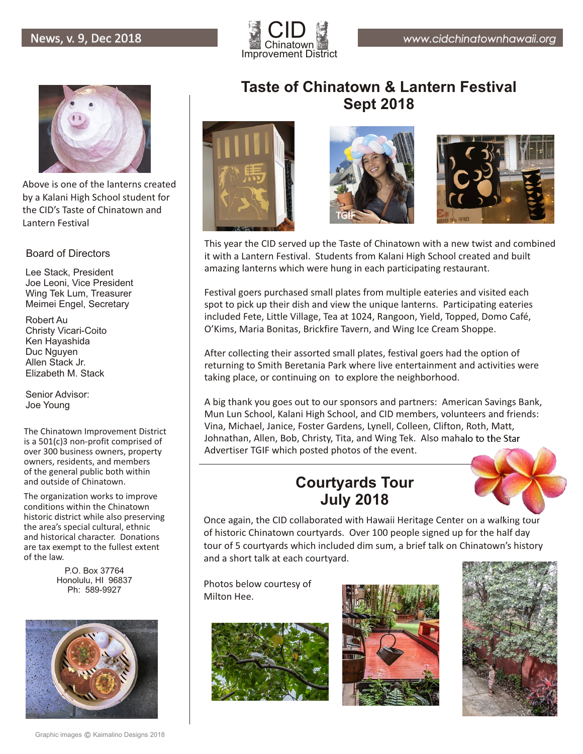



Above is one of the lanterns created by a Kalani High School student for the CID's Taste of Chinatown and Lantern Festival

#### Board of Directors

Lee Stack, President Joe Leoni, Vice President Wing Tek Lum, Treasurer Meimei Engel, Secretary

Robert Au Christy Vicari-Coito Ken Hayashida Duc Nguyen Allen Stack Jr. Elizabeth M. Stack

Senior Advisor: Joe Young

The Chinatown Improvement District is a 501(c)3 non-profit comprised of over 300 business owners, property owners, residents, and members of the general public both within and outside of Chinatown.

The organization works to improve conditions within the Chinatown historic district while also preserving the area's special cultural, ethnic and historical character. Donations are tax exempt to the fullest extent of the law.

> P.O. Box 37764 Honolulu, HI 96837 Ph: 589-9927



### **Taste of Chinatown & Lantern Festival Sept 2018**







This year the CID served up the Taste of Chinatown with a new twist and combined it with a Lantern Festival. Students from Kalani High School created and built amazing lanterns which were hung in each participating restaurant.

Festival goers purchased small plates from multiple eateries and visited each spot to pick up their dish and view the unique lanterns. Participating eateries included Fete, Little Village, Tea at 1024, Rangoon, Yield, Topped, Domo Café, O'Kims, Maria Bonitas, Brickfire Tavern, and Wing Ice Cream Shoppe.

After collecting their assorted small plates, festival goers had the option of returning to Smith Beretania Park where live entertainment and activities were taking place, or continuing on to explore the neighborhood.

A big thank you goes out to our sponsors and partners: American Savings Bank, Mun Lun School, Kalani High School, and CID members, volunteers and friends: Vina, Michael, Janice, Foster Gardens, Lynell, Colleen, Clifton, Roth, Matt, Johnathan, Allen, Bob, Christy, Tita, and Wing Tek. Also mahalo to the Star Advertiser TGIF which posted photos of the event.

#### **Courtyards Tour July 2018**



Once again, the CID collaborated with Hawaii Heritage Center on a walking tour of historic Chinatown courtyards. Over 100 people signed up for the half day tour of 5 courtyards which included dim sum, a brief talk on Chinatown's history and a short talk at each courtyard.

Photos below courtesy of Milton Hee.